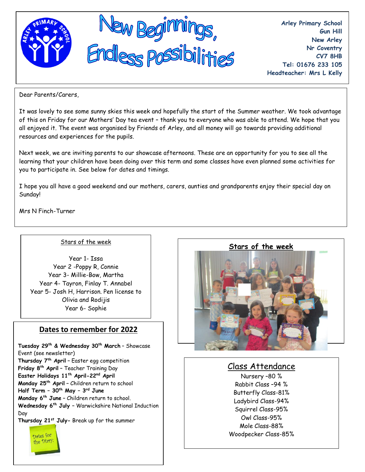

**Arley Primary School Gun Hill New Arley Nr Coventry CV7 8HB Tel: 01676 233 105 Headteacher: Mrs L Kelly**

Dear Parents/Carers,

It was lovely to see some sunny skies this week and hopefully the start of the Summer weather. We took advantage of this on Friday for our Mothers' Day tea event – thank you to everyone who was able to attend. We hope that you all enjoyed it. The event was organised by Friends of Arley, and all money will go towards providing additional resources and experiences for the pupils.

Next week, we are inviting parents to our showcase afternoons. These are an opportunity for you to see all the learning that your children have been doing over this term and some classes have even planned some activities for you to participate in. See below for dates and timings.

I hope you all have a good weekend and our mothers, carers, aunties and grandparents enjoy their special day on Sunday!

Mrs N Finch-Turner

Dates for the Diary

#### Stars of the week

Year 1- Issa Year 2 -Poppy R, Connie Year 3- Millie-Bow, Martha Year 4- Tayron, Finlay T. Annabel Year 5- Josh H, Harrison. Pen license to Olivia and Rodijis Year 6- Sophie

## **Dates to remember for 2022**

**Tuesday 29th & Wednesday 30th March** – Showcase Event (see newsletter) **Thursday 7th April –** Easter egg competition **Friday 8th April –** Teacher Training Day **Easter Holidays 11th April-22nd April Monday 25th April –** Children return to school **Half Term – 30th May – 3 rd June Monday 6th June –** Children return to school. **Wednesday 6th July –** Warwickshire National Induction Day **Thursday 21st July-** Break up for the summer



## Class Attendance

Nursery –80 % Rabbit Class –94 % Butterfly Class-81% Ladybird Class-94% Squirrel Class-95% Owl Class-95% Mole Class-88% Woodpecker Class-85%